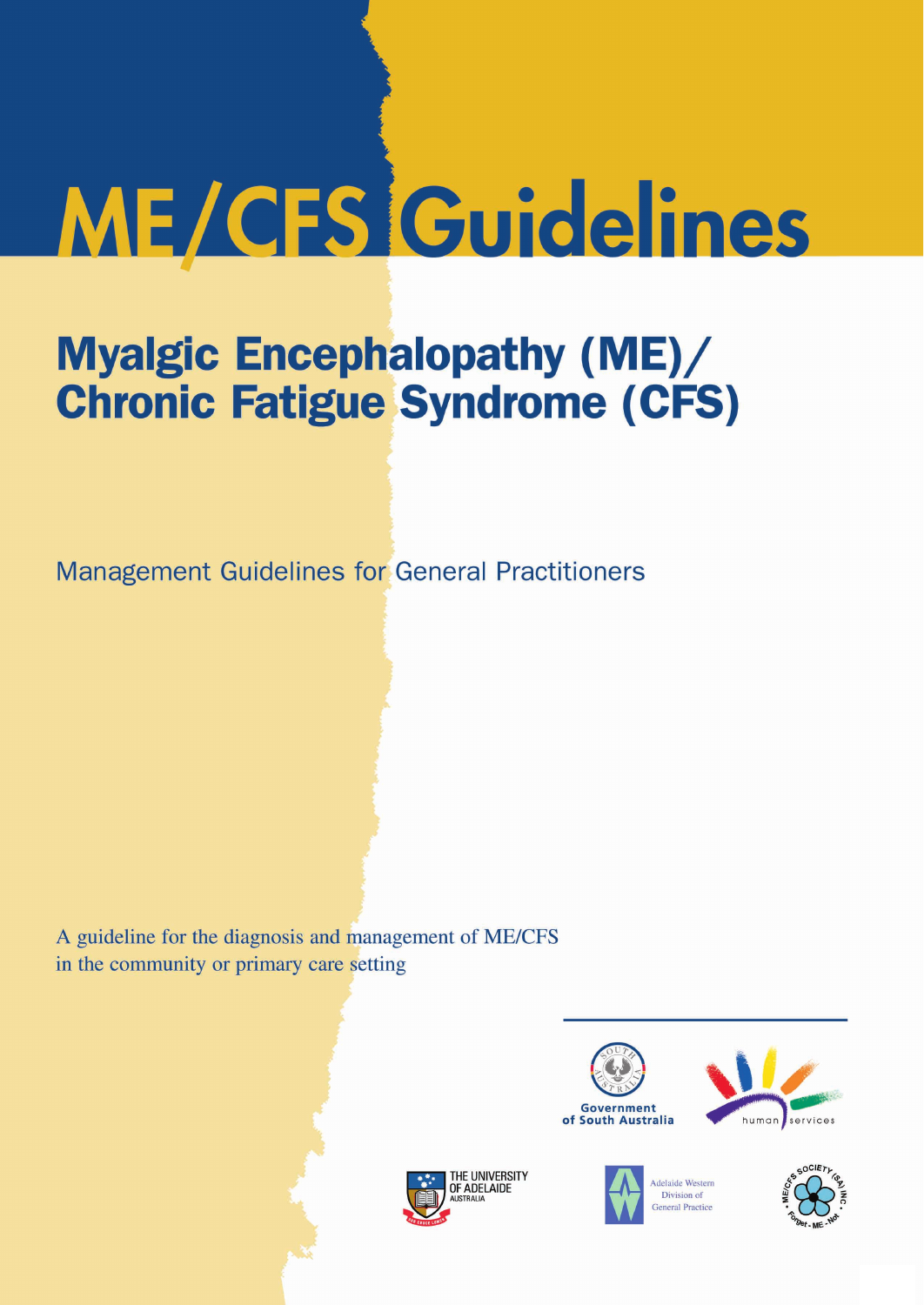# **ME/CFS Guidelines**

## **Myalgic Encephalopathy (ME)/ Chronic Fatigue Syndrome (CFS)**

**Management Guidelines for General Practitioners** 

A guideline for the diagnosis and management of ME/CFS in the community or primary care setting





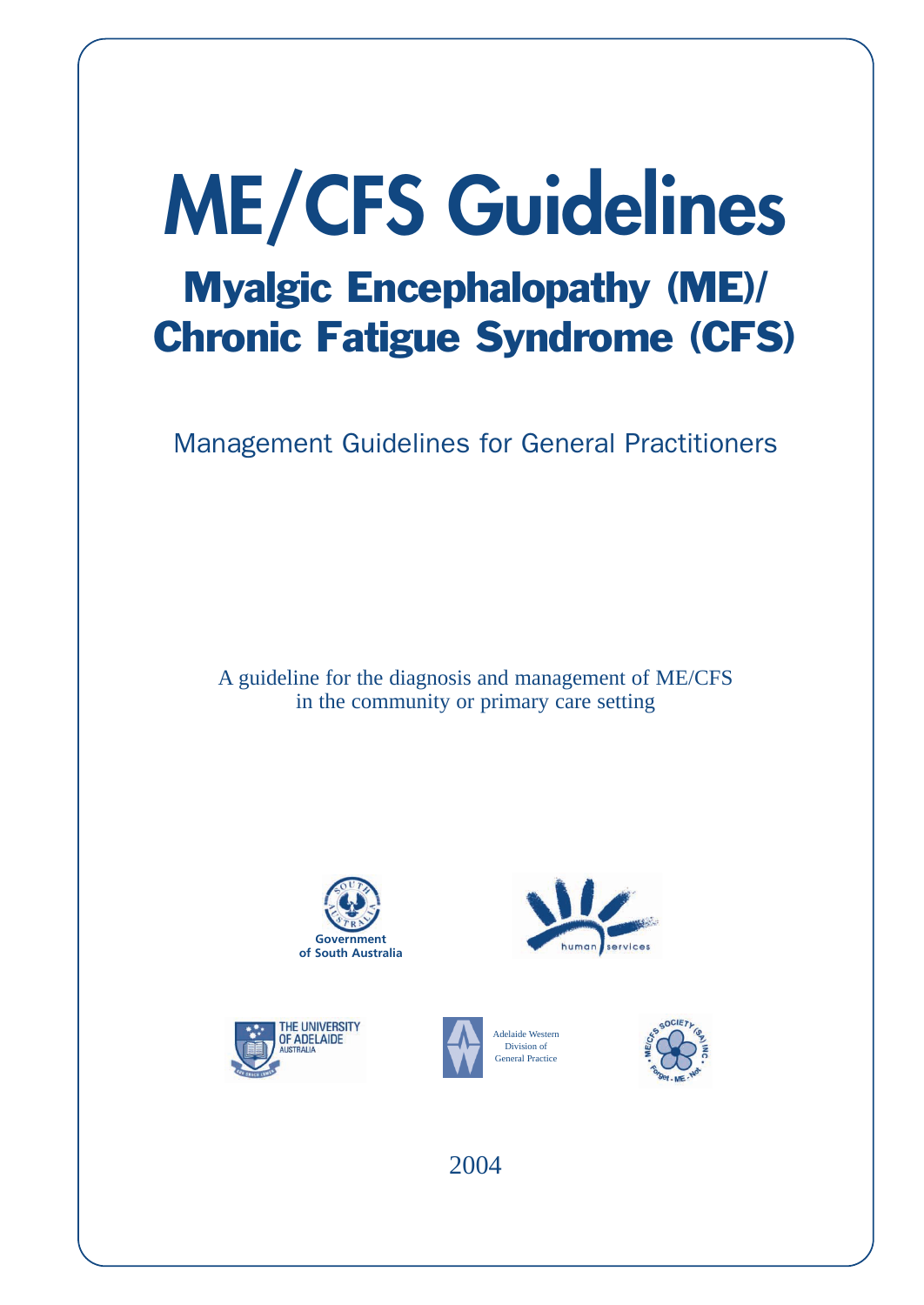# **ME/CFS Guidelines** Myalgic Encephalopathy (ME)/ Chronic Fatigue Syndrome (CFS)

Management Guidelines for General Practitioners

A guideline for the diagnosis and management of ME/CFS in the community or primary care setting











2004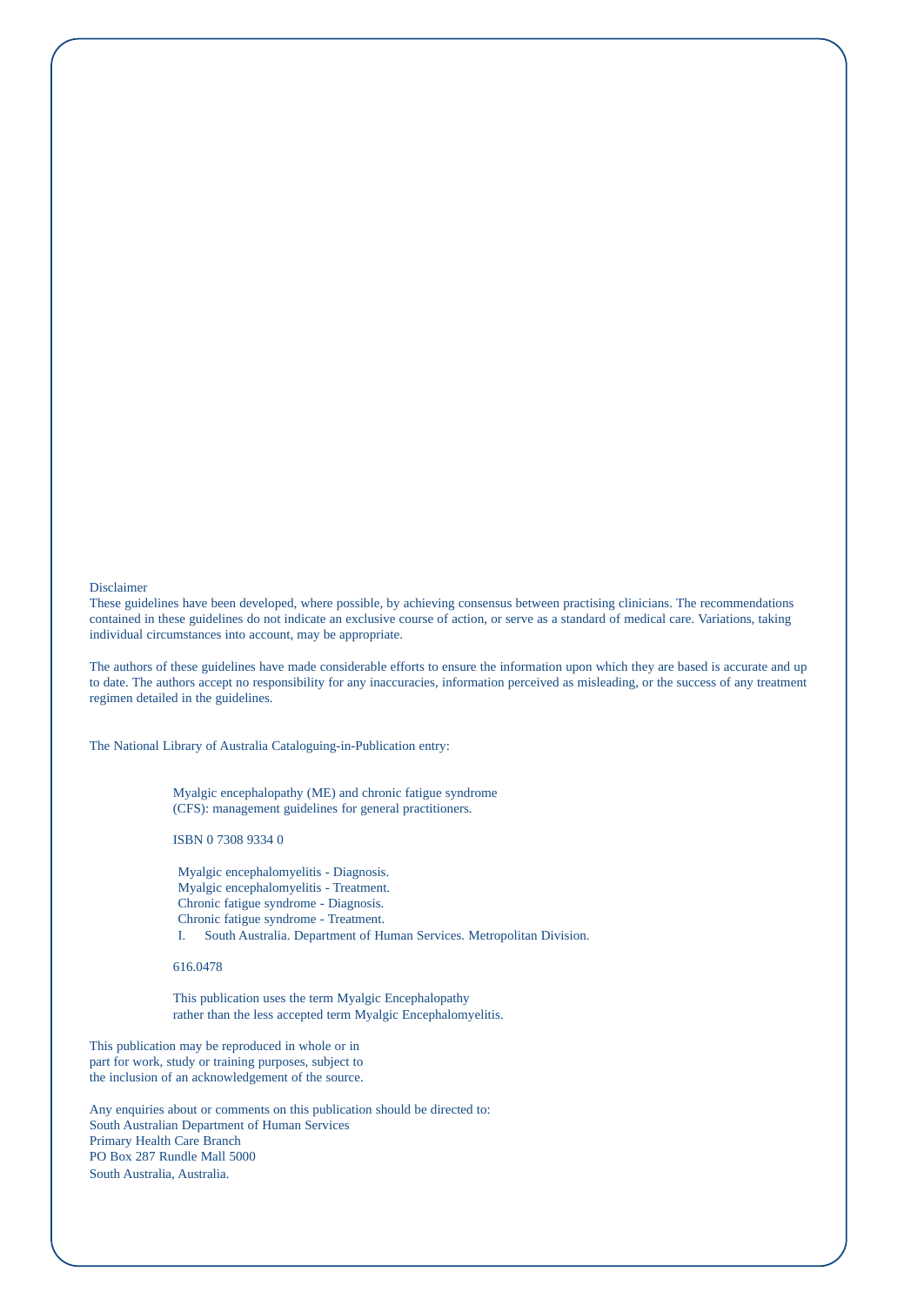#### Disclaimer

These guidelines have been developed, where possible, by achieving consensus between practising clinicians. The recommendations contained in these guidelines do not indicate an exclusive course of action, or serve as a standard of medical care. Variations, taking individual circumstances into account, may be appropriate.

The authors of these guidelines have made considerable efforts to ensure the information upon which they are based is accurate and up to date. The authors accept no responsibility for any inaccuracies, information perceived as misleading, or the success of any treatment regimen detailed in the guidelines.

The National Library of Australia Cataloguing-in-Publication entry:

Myalgic encephalopathy (ME) and chronic fatigue syndrome (CFS): management guidelines for general practitioners.

ISBN 0 7308 9334 0

Myalgic encephalomyelitis - Diagnosis. Myalgic encephalomyelitis - Treatment. Chronic fatigue syndrome - Diagnosis. Chronic fatigue syndrome - Treatment. I. South Australia. Department of Human Services. Metropolitan Division.

616.0478

This publication uses the term Myalgic Encephalopathy rather than the less accepted term Myalgic Encephalomyelitis.

This publication may be reproduced in whole or in part for work, study or training purposes, subject to the inclusion of an acknowledgement of the source.

Any enquiries about or comments on this publication should be directed to: South Australian Department of Human Services Primary Health Care Branch PO Box 287 Rundle Mall 5000 South Australia, Australia.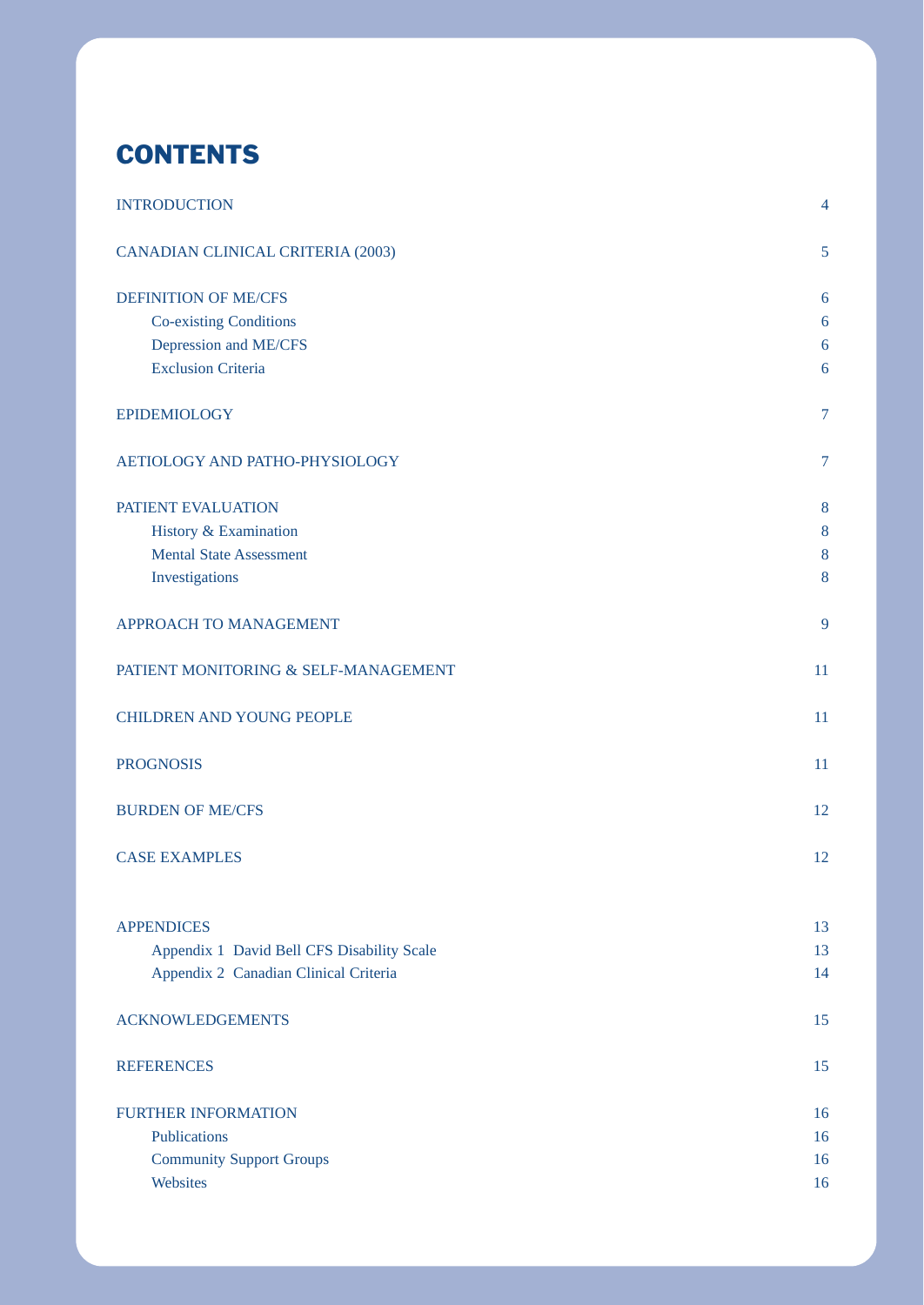## **CONTENTS**

| <b>INTRODUCTION</b>                        | $\overline{4}$ |
|--------------------------------------------|----------------|
| <b>CANADIAN CLINICAL CRITERIA (2003)</b>   | 5              |
| <b>DEFINITION OF ME/CFS</b>                | 6              |
| <b>Co-existing Conditions</b>              | 6              |
| Depression and ME/CFS                      | 6              |
| <b>Exclusion Criteria</b>                  | 6              |
| <b>EPIDEMIOLOGY</b>                        | $\overline{7}$ |
| AETIOLOGY AND PATHO-PHYSIOLOGY             | $\overline{7}$ |
| PATIENT EVALUATION                         | 8              |
| History & Examination                      | 8              |
| <b>Mental State Assessment</b>             | 8              |
| Investigations                             | 8              |
| APPROACH TO MANAGEMENT                     | 9              |
| PATIENT MONITORING & SELF-MANAGEMENT       | 11             |
| <b>CHILDREN AND YOUNG PEOPLE</b>           | 11             |
| <b>PROGNOSIS</b>                           | 11             |
| <b>BURDEN OF ME/CFS</b>                    | 12             |
| <b>CASE EXAMPLES</b>                       | 12             |
| <b>APPENDICES</b>                          | 13             |
| Appendix 1 David Bell CFS Disability Scale | 13             |
| Appendix 2 Canadian Clinical Criteria      | 14             |
| <b>ACKNOWLEDGEMENTS</b>                    | 15             |
| <b>REFERENCES</b>                          | 15             |
| <b>FURTHER INFORMATION</b>                 | 16             |
| Publications                               | 16             |
| <b>Community Support Groups</b>            | 16             |
| Websites                                   | 16             |
|                                            |                |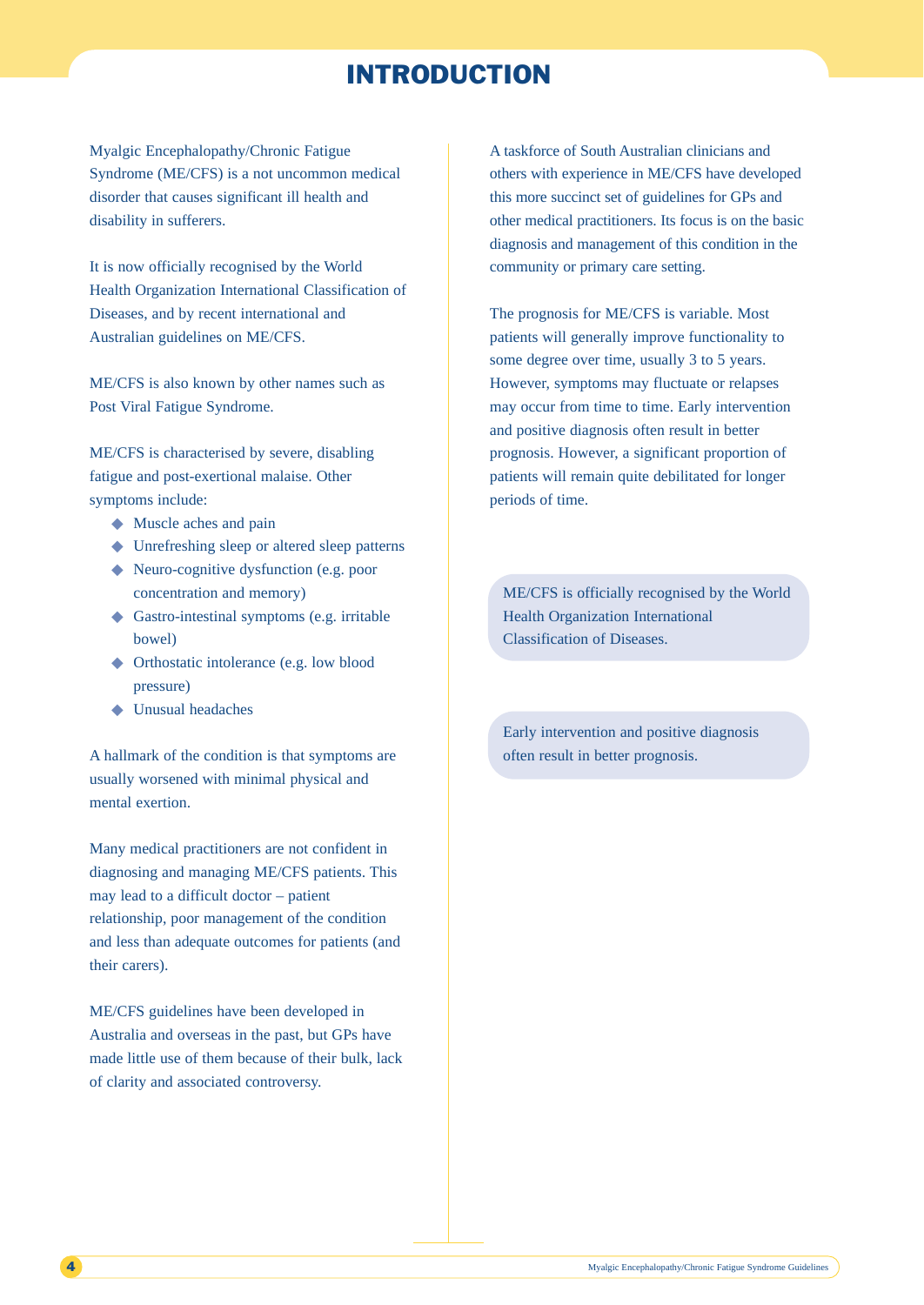## INTRODUCTION

Myalgic Encephalopathy/Chronic Fatigue Syndrome (ME/CFS) is a not uncommon medical disorder that causes significant ill health and disability in sufferers.

It is now officially recognised by the World Health Organization International Classification of Diseases, and by recent international and Australian guidelines on ME/CFS.

ME/CFS is also known by other names such as Post Viral Fatigue Syndrome.

ME/CFS is characterised by severe, disabling fatigue and post-exertional malaise. Other symptoms include:

- ◆ Muscle aches and pain
- ◆ Unrefreshing sleep or altered sleep patterns
- ◆ Neuro-cognitive dysfunction (e.g. poor concentration and memory)
- ◆ Gastro-intestinal symptoms (e.g. irritable bowel)
- ◆ Orthostatic intolerance (e.g. low blood pressure)
- ◆ Unusual headaches

A hallmark of the condition is that symptoms are usually worsened with minimal physical and mental exertion.

Many medical practitioners are not confident in diagnosing and managing ME/CFS patients. This may lead to a difficult doctor – patient relationship, poor management of the condition and less than adequate outcomes for patients (and their carers).

ME/CFS guidelines have been developed in Australia and overseas in the past, but GPs have made little use of them because of their bulk, lack of clarity and associated controversy.

A taskforce of South Australian clinicians and others with experience in ME/CFS have developed this more succinct set of guidelines for GPs and other medical practitioners. Its focus is on the basic diagnosis and management of this condition in the community or primary care setting.

The prognosis for ME/CFS is variable. Most patients will generally improve functionality to some degree over time, usually 3 to 5 years. However, symptoms may fluctuate or relapses may occur from time to time. Early intervention and positive diagnosis often result in better prognosis. However, a significant proportion of patients will remain quite debilitated for longer periods of time.

ME/CFS is officially recognised by the World Health Organization International Classification of Diseases.

Early intervention and positive diagnosis often result in better prognosis.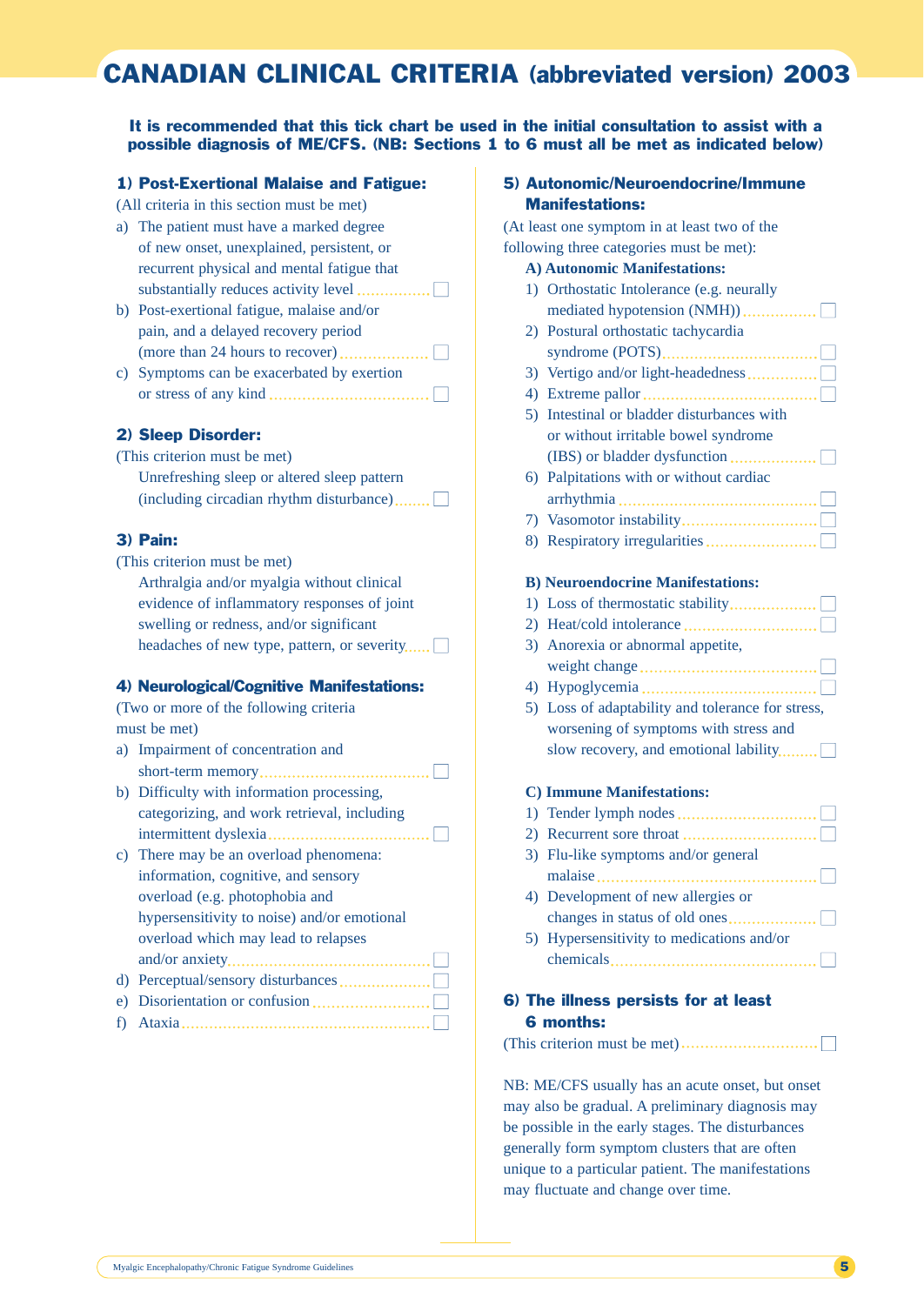## CANADIAN CLINICAL CRITERIA (abbreviated version) 2003

It is recommended that this tick chart be used in the initial consultation to assist with a possible diagnosis of ME/CFS. (NB: Sections 1 to 6 must all be met as indicated below)

#### 1) Post-Exertional Malaise and Fatigue:

(All criteria in this section must be met)

- a) The patient must have a marked degree of new onset, unexplained, persistent, or recurrent physical and mental fatigue that substantially reduces activity level ■
- b) Post-exertional fatigue, malaise and/or pain, and a delayed recovery period (more than 24 hours to recover) ■ c) Symptoms can be exacerbated by exertion
- or stress of any kind  $\dots$   $\dots$   $\dots$   $\dots$   $\dots$   $\dots$   $\dots$

## 2) Sleep Disorder:

| (This criterion must be met)                |  |
|---------------------------------------------|--|
| Unrefreshing sleep or altered sleep pattern |  |
| (including circadian rhythm disturbance)    |  |

#### 3) Pain:

(This criterion must be met) Arthralgia and/or myalgia without clinical evidence of inflammatory responses of joint swelling or redness, and/or significant headaches of new type, pattern, or severity.....

#### 4) Neurological/Cognitive Manifestations:

(Two or more of the following criteria must be met)

a) Impairment of concentration and short-term memory ■ b) Difficulty with information processing, categorizing, and work retrieval, including intermittent dyslexia ■ c) There may be an overload phenomena:

| information, cognitive, and sensory         |    |
|---------------------------------------------|----|
| overload (e.g. photophobia and              |    |
| hypersensitivity to noise) and/or emotional |    |
| overload which may lead to relapses         |    |
|                                             |    |
|                                             |    |
|                                             | l. |
|                                             |    |

|--|--|--|--|

## 5) Autonomic/Neuroendocrine/Immune Manifestations:

(At least one symptom in at least two of the following three categories must be met):

#### **A) Autonomic Manifestations:**

| 1) Orthostatic Intolerance (e.g. neurally  |
|--------------------------------------------|
|                                            |
| 2) Postural orthostatic tachycardia        |
|                                            |
| 3) Vertigo and/or light-headedness         |
|                                            |
| 5) Intestinal or bladder disturbances with |
| or without irritable bowel syndrome        |
|                                            |
| 6) Palpitations with or without cardiac    |
|                                            |
|                                            |
|                                            |
|                                            |
|                                            |

#### **B) Neuroendocrine Manifestations:**

| 3) Anorexia or abnormal appetite, |
|-----------------------------------|
|                                   |

4) Hypoglycemia ■ 5) Loss of adaptability and tolerance for stress, worsening of symptoms with stress and slow recovery, and emotional lability........

#### **C) Immune Manifestations:**

| 3) Flu-like symptoms and/or general       |
|-------------------------------------------|
|                                           |
| 4) Development of new allergies or        |
|                                           |
| 5) Hypersensitivity to medications and/or |
|                                           |

## 6) The illness persists for at least 6 months:

 $(This$  criterion must be met $)\dots\dots\dots\dots\dots\dots\dots\dots\dots\dots$ 

NB: ME/CFS usually has an acute onset, but onset may also be gradual. A preliminary diagnosis may be possible in the early stages. The disturbances generally form symptom clusters that are often unique to a particular patient. The manifestations may fluctuate and change over time.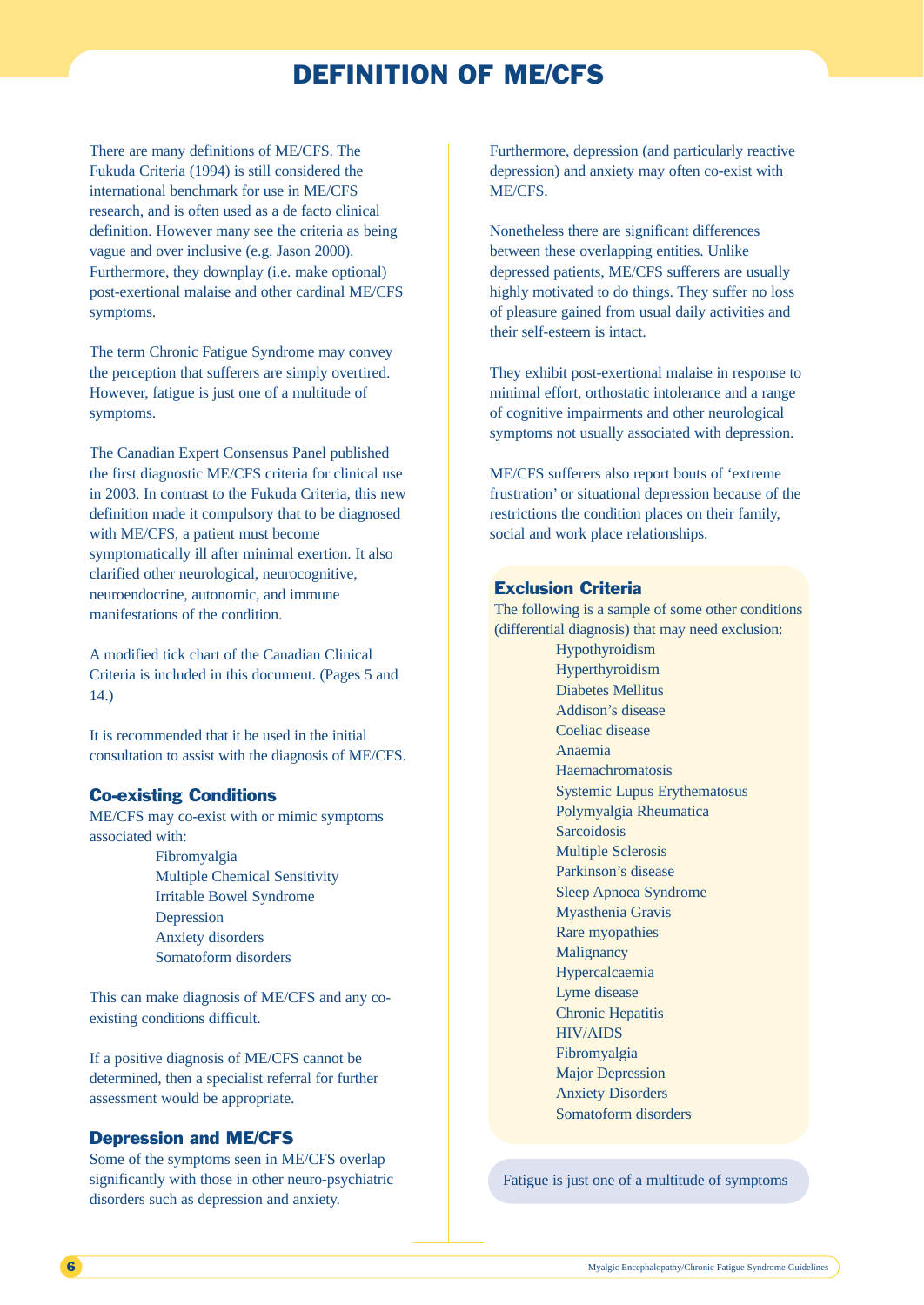## DEFINITION OF ME/CFS

There are many definitions of ME/CFS. The Fukuda Criteria (1994) is still considered the international benchmark for use in ME/CFS research, and is often used as a de facto clinical definition. However many see the criteria as being vague and over inclusive (e.g. Jason 2000). Furthermore, they downplay (i.e. make optional) post-exertional malaise and other cardinal ME/CFS symptoms.

The term Chronic Fatigue Syndrome may convey the perception that sufferers are simply overtired. However, fatigue is just one of a multitude of symptoms.

The Canadian Expert Consensus Panel published the first diagnostic ME/CFS criteria for clinical use in 2003. In contrast to the Fukuda Criteria, this new definition made it compulsory that to be diagnosed with ME/CFS, a patient must become symptomatically ill after minimal exertion. It also clarified other neurological, neurocognitive, neuroendocrine, autonomic, and immune manifestations of the condition.

A modified tick chart of the Canadian Clinical Criteria is included in this document. (Pages 5 and 14.)

It is recommended that it be used in the initial consultation to assist with the diagnosis of ME/CFS.

## Co-existing Conditions

ME/CFS may co-exist with or mimic symptoms associated with:

> Fibromyalgia Multiple Chemical Sensitivity Irritable Bowel Syndrome Depression Anxiety disorders Somatoform disorders

This can make diagnosis of ME/CFS and any coexisting conditions difficult.

If a positive diagnosis of ME/CFS cannot be determined, then a specialist referral for further assessment would be appropriate.

## Depression and ME/CFS

Some of the symptoms seen in ME/CFS overlap significantly with those in other neuro-psychiatric disorders such as depression and anxiety.

Furthermore, depression (and particularly reactive depression) and anxiety may often co-exist with ME/CFS.

Nonetheless there are significant differences between these overlapping entities. Unlike depressed patients, ME/CFS sufferers are usually highly motivated to do things. They suffer no loss of pleasure gained from usual daily activities and their self-esteem is intact.

They exhibit post-exertional malaise in response to minimal effort, orthostatic intolerance and a range of cognitive impairments and other neurological symptoms not usually associated with depression.

ME/CFS sufferers also report bouts of 'extreme frustration' or situational depression because of the restrictions the condition places on their family, social and work place relationships.

## Exclusion Criteria

The following is a sample of some other conditions (differential diagnosis) that may need exclusion:

Hypothyroidism Hyperthyroidism Diabetes Mellitus Addison's disease Coeliac disease Anaemia Haemachromatosis Systemic Lupus Erythematosus Polymyalgia Rheumatica Sarcoidosis Multiple Sclerosis Parkinson's disease Sleep Apnoea Syndrome Myasthenia Gravis Rare myopathies **Malignancy** Hypercalcaemia Lyme disease Chronic Hepatitis HIV/AIDS Fibromyalgia Major Depression Anxiety Disorders Somatoform disorders

Fatigue is just one of a multitude of symptoms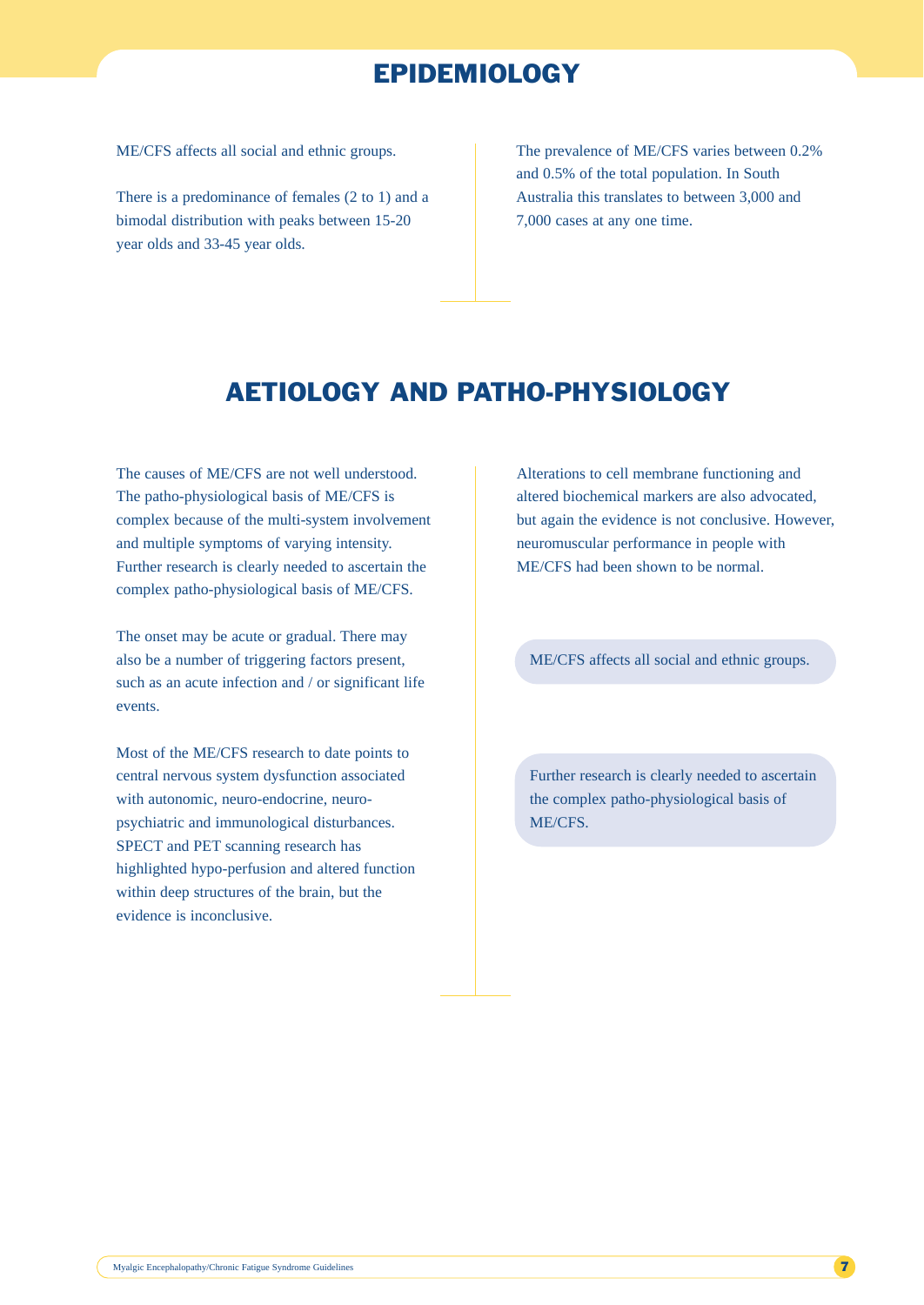## EPIDEMIOLOGY

ME/CFS affects all social and ethnic groups.

There is a predominance of females (2 to 1) and a bimodal distribution with peaks between 15-20 year olds and 33-45 year olds.

The prevalence of ME/CFS varies between 0.2% and 0.5% of the total population. In South Australia this translates to between 3,000 and 7,000 cases at any one time.

## AETIOLOGY AND PATHO-PHYSIOLOGY

The causes of ME/CFS are not well understood. The patho-physiological basis of ME/CFS is complex because of the multi-system involvement and multiple symptoms of varying intensity. Further research is clearly needed to ascertain the complex patho-physiological basis of ME/CFS.

The onset may be acute or gradual. There may also be a number of triggering factors present, such as an acute infection and / or significant life events.

Most of the ME/CFS research to date points to central nervous system dysfunction associated with autonomic, neuro-endocrine, neuropsychiatric and immunological disturbances. SPECT and PET scanning research has highlighted hypo-perfusion and altered function within deep structures of the brain, but the evidence is inconclusive.

Alterations to cell membrane functioning and altered biochemical markers are also advocated, but again the evidence is not conclusive. However, neuromuscular performance in people with ME/CFS had been shown to be normal.

ME/CFS affects all social and ethnic groups.

Further research is clearly needed to ascertain the complex patho-physiological basis of ME/CFS.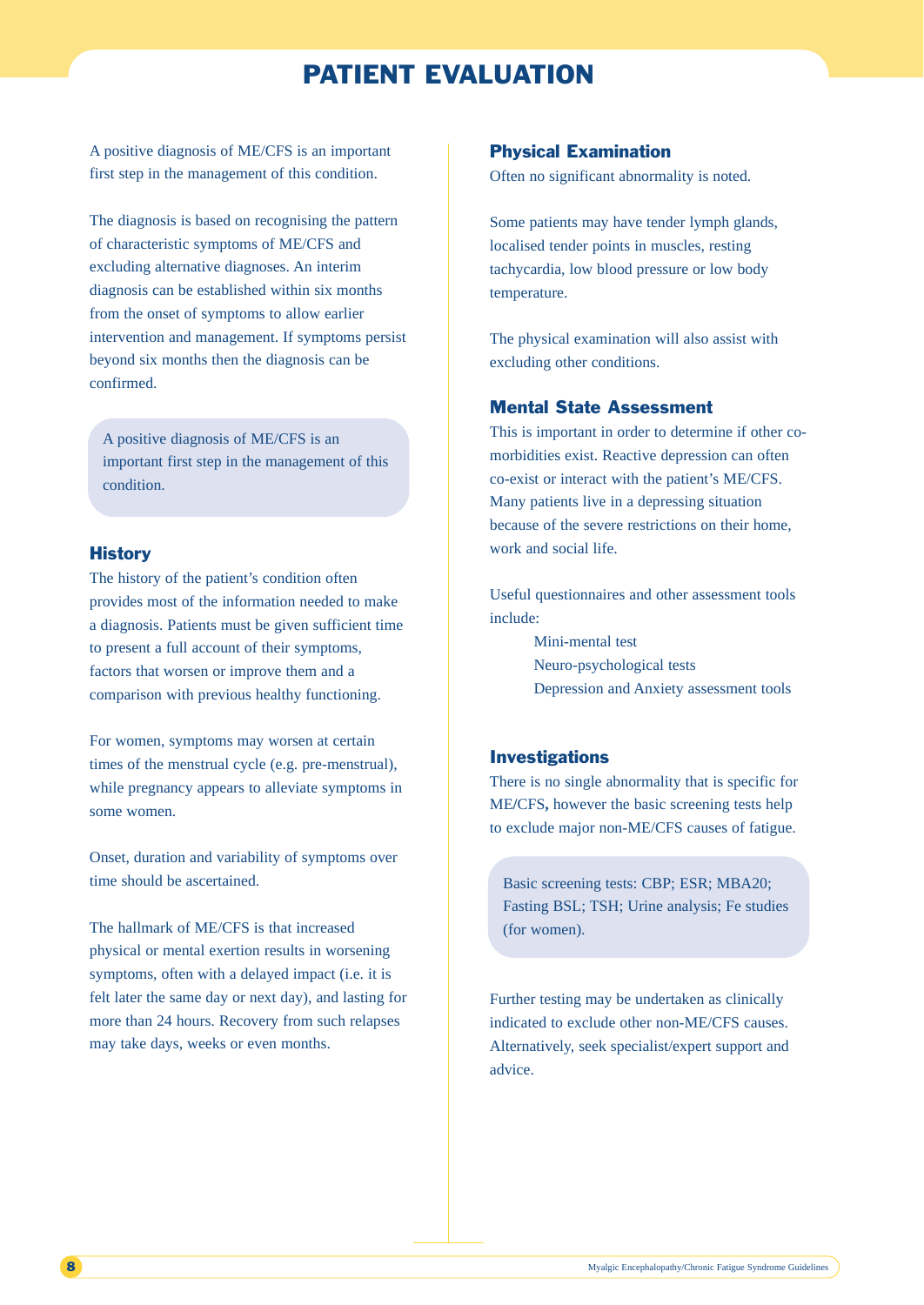## PATIENT EVALUATION

A positive diagnosis of ME/CFS is an important first step in the management of this condition.

The diagnosis is based on recognising the pattern of characteristic symptoms of ME/CFS and excluding alternative diagnoses. An interim diagnosis can be established within six months from the onset of symptoms to allow earlier intervention and management. If symptoms persist beyond six months then the diagnosis can be confirmed.

A positive diagnosis of ME/CFS is an important first step in the management of this condition.

## **History**

The history of the patient's condition often provides most of the information needed to make a diagnosis. Patients must be given sufficient time to present a full account of their symptoms, factors that worsen or improve them and a comparison with previous healthy functioning.

For women, symptoms may worsen at certain times of the menstrual cycle (e.g. pre-menstrual), while pregnancy appears to alleviate symptoms in some women.

Onset, duration and variability of symptoms over time should be ascertained.

The hallmark of ME/CFS is that increased physical or mental exertion results in worsening symptoms, often with a delayed impact (i.e. it is felt later the same day or next day), and lasting for more than 24 hours. Recovery from such relapses may take days, weeks or even months.

### Physical Examination

Often no significant abnormality is noted.

Some patients may have tender lymph glands, localised tender points in muscles, resting tachycardia, low blood pressure or low body temperature.

The physical examination will also assist with excluding other conditions.

## Mental State Assessment

This is important in order to determine if other comorbidities exist. Reactive depression can often co-exist or interact with the patient's ME/CFS. Many patients live in a depressing situation because of the severe restrictions on their home, work and social life.

Useful questionnaires and other assessment tools include:

> Mini-mental test Neuro-psychological tests Depression and Anxiety assessment tools

## Investigations

There is no single abnormality that is specific for ME**/**CFS**,** however the basic screening tests help to exclude major non-ME/CFS causes of fatigue.

Basic screening tests: CBP; ESR; MBA20; Fasting BSL; TSH; Urine analysis; Fe studies (for women).

Further testing may be undertaken as clinically indicated to exclude other non-ME/CFS causes. Alternatively, seek specialist/expert support and advice.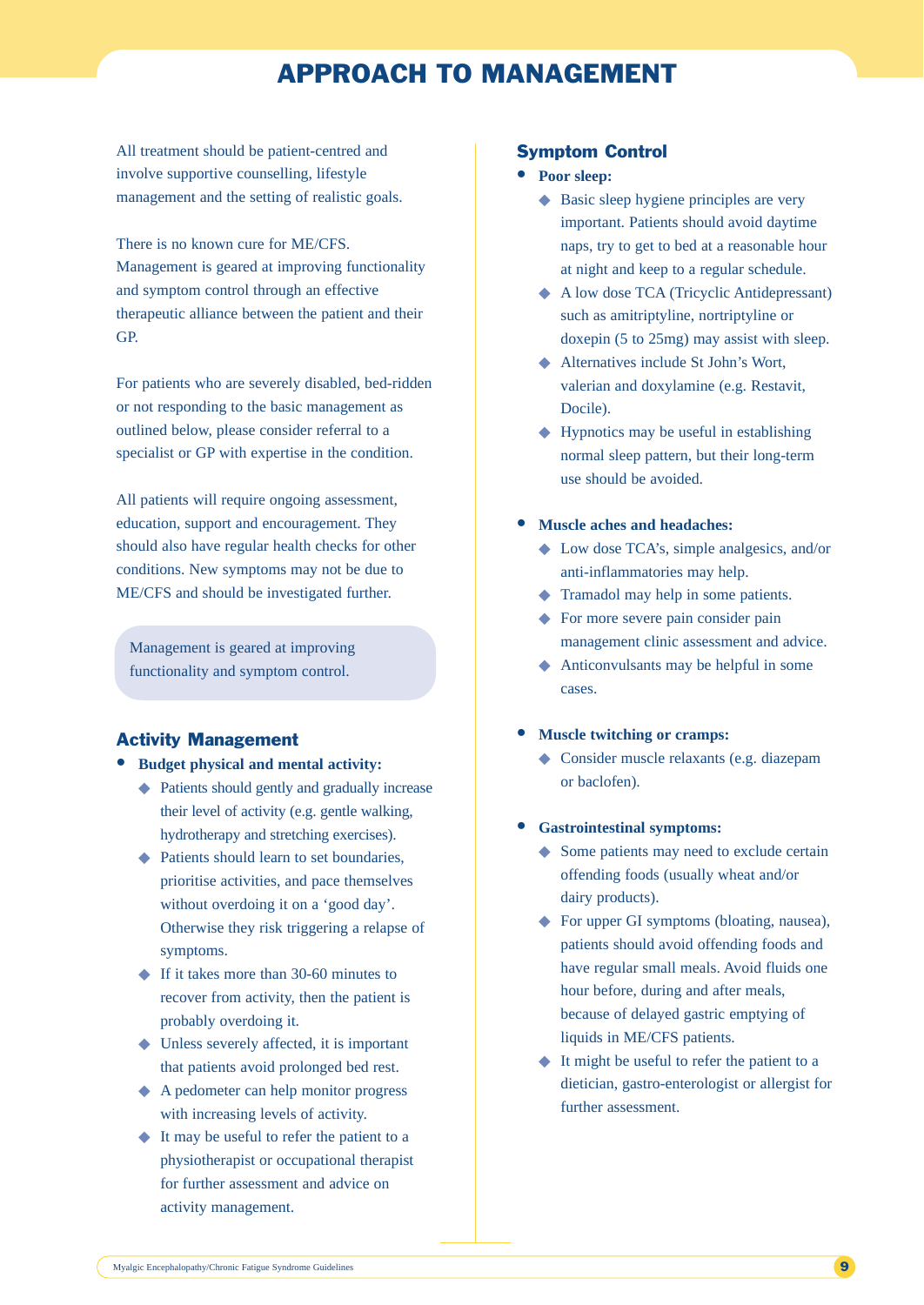## APPROACH TO MANAGEMENT

All treatment should be patient-centred and involve supportive counselling, lifestyle management and the setting of realistic goals.

There is no known cure for ME/CFS. Management is geared at improving functionality and symptom control through an effective therapeutic alliance between the patient and their GP.

For patients who are severely disabled, bed-ridden or not responding to the basic management as outlined below, please consider referral to a specialist or GP with expertise in the condition.

All patients will require ongoing assessment, education, support and encouragement. They should also have regular health checks for other conditions. New symptoms may not be due to ME/CFS and should be investigated further.

Management is geared at improving functionality and symptom control.

## Activity Management

- **Budget physical and mental activity:**
	- ◆ Patients should gently and gradually increase their level of activity (e.g. gentle walking, hydrotherapy and stretching exercises).
	- ◆ Patients should learn to set boundaries, prioritise activities, and pace themselves without overdoing it on a 'good day'. Otherwise they risk triggering a relapse of symptoms.
	- ◆ If it takes more than 30-60 minutes to recover from activity, then the patient is probably overdoing it.
	- ◆ Unless severely affected, it is important that patients avoid prolonged bed rest.
	- ◆ A pedometer can help monitor progress with increasing levels of activity.
	- ◆ It may be useful to refer the patient to a physiotherapist or occupational therapist for further assessment and advice on activity management.

#### Symptom Control

- **Poor sleep:** 
	- ◆ Basic sleep hygiene principles are very important. Patients should avoid daytime naps, try to get to bed at a reasonable hour at night and keep to a regular schedule.
	- ◆ A low dose TCA (Tricyclic Antidepressant) such as amitriptyline, nortriptyline or doxepin (5 to 25mg) may assist with sleep.
	- ◆ Alternatives include St John's Wort, valerian and doxylamine (e.g. Restavit, Docile).
	- $\blacklozenge$  Hypnotics may be useful in establishing normal sleep pattern, but their long-term use should be avoided.
- **Muscle aches and headaches:**
	- ◆ Low dose TCA's, simple analgesics, and/or anti-inflammatories may help.
	- ◆ Tramadol may help in some patients.
	- ◆ For more severe pain consider pain management clinic assessment and advice.
	- ◆ Anticonvulsants may be helpful in some cases.

#### • **Muscle twitching or cramps:**

- ◆ Consider muscle relaxants (e.g. diazepam or baclofen).
- **Gastrointestinal symptoms:**
	- ◆ Some patients may need to exclude certain offending foods (usually wheat and/or dairy products).
	- ◆ For upper GI symptoms (bloating, nausea), patients should avoid offending foods and have regular small meals. Avoid fluids one hour before, during and after meals, because of delayed gastric emptying of liquids in ME/CFS patients.
	- ◆ It might be useful to refer the patient to a dietician, gastro-enterologist or allergist for further assessment.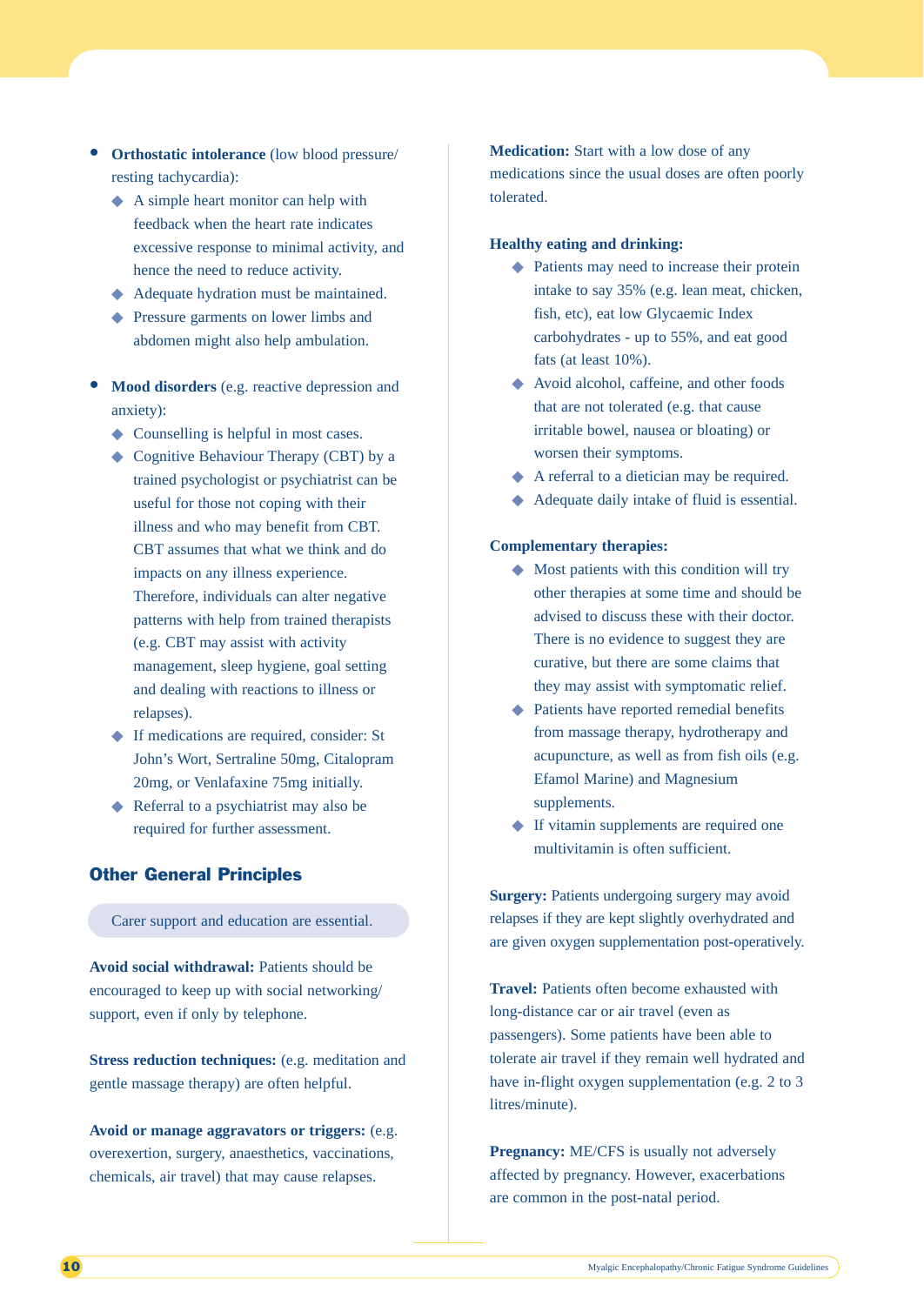- **Orthostatic intolerance** (low blood pressure/ resting tachycardia):
	- ◆ A simple heart monitor can help with feedback when the heart rate indicates excessive response to minimal activity, and hence the need to reduce activity.
	- ◆ Adequate hydration must be maintained.
	- ◆ Pressure garments on lower limbs and abdomen might also help ambulation.
- **Mood disorders** (e.g. reactive depression and anxiety):
	- ◆ Counselling is helpful in most cases.
	- ◆ Cognitive Behaviour Therapy (CBT) by a trained psychologist or psychiatrist can be useful for those not coping with their illness and who may benefit from CBT. CBT assumes that what we think and do impacts on any illness experience. Therefore, individuals can alter negative patterns with help from trained therapists (e.g. CBT may assist with activity management, sleep hygiene, goal setting and dealing with reactions to illness or relapses).
	- ◆ If medications are required, consider: St John's Wort, Sertraline 50mg, Citalopram 20mg, or Venlafaxine 75mg initially.
	- ◆ Referral to a psychiatrist may also be required for further assessment.

## Other General Principles

Carer support and education are essential.

**Avoid social withdrawal:** Patients should be encouraged to keep up with social networking/ support, even if only by telephone.

**Stress reduction techniques:** (e.g. meditation and gentle massage therapy) are often helpful.

**Avoid or manage aggravators or triggers:** (e.g. overexertion, surgery, anaesthetics, vaccinations, chemicals, air travel) that may cause relapses.

**Medication:** Start with a low dose of any medications since the usual doses are often poorly tolerated.

## **Healthy eating and drinking:**

- ◆ Patients may need to increase their protein intake to say 35% (e.g. lean meat, chicken, fish, etc), eat low Glycaemic Index carbohydrates - up to 55%, and eat good fats (at least 10%).
- ◆ Avoid alcohol, caffeine, and other foods that are not tolerated (e.g. that cause irritable bowel, nausea or bloating) or worsen their symptoms.
- ◆ A referral to a dietician may be required.
- ◆ Adequate daily intake of fluid is essential.

#### **Complementary therapies:**

- ◆ Most patients with this condition will try other therapies at some time and should be advised to discuss these with their doctor. There is no evidence to suggest they are curative, but there are some claims that they may assist with symptomatic relief.
- ◆ Patients have reported remedial benefits from massage therapy, hydrotherapy and acupuncture, as well as from fish oils (e.g. Efamol Marine) and Magnesium supplements.
- ◆ If vitamin supplements are required one multivitamin is often sufficient.

**Surgery:** Patients undergoing surgery may avoid relapses if they are kept slightly overhydrated and are given oxygen supplementation post-operatively.

**Travel:** Patients often become exhausted with long-distance car or air travel (even as passengers). Some patients have been able to tolerate air travel if they remain well hydrated and have in-flight oxygen supplementation (e.g. 2 to 3 litres/minute).

**Pregnancy:** ME/CFS is usually not adversely affected by pregnancy. However, exacerbations are common in the post-natal period.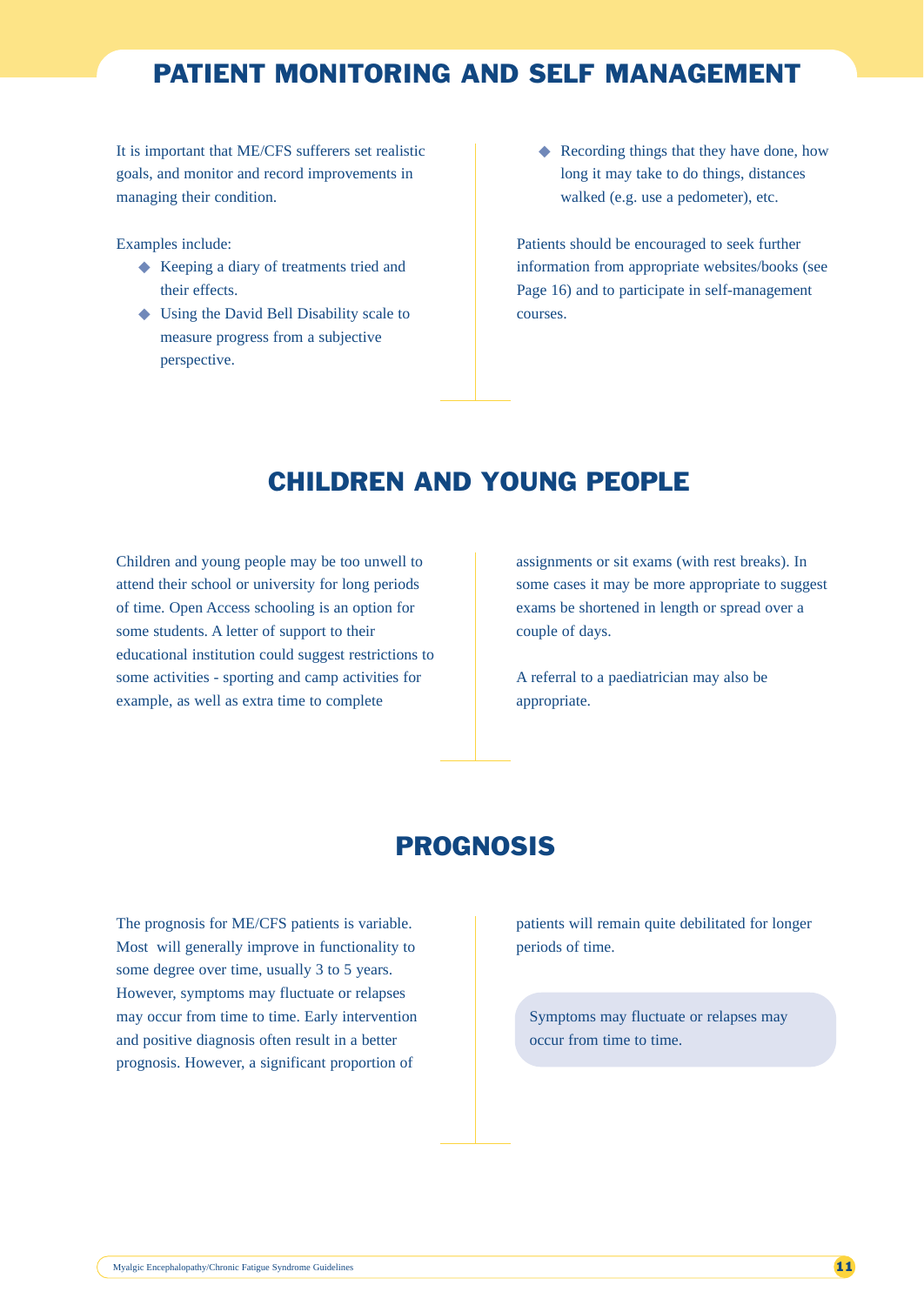## PATIENT MONITORING AND SELF MANAGEMENT

It is important that ME/CFS sufferers set realistic goals, and monitor and record improvements in managing their condition.

Examples include:

- ◆ Keeping a diary of treatments tried and their effects.
- ◆ Using the David Bell Disability scale to measure progress from a subjective perspective.

◆ Recording things that they have done, how long it may take to do things, distances walked (e.g. use a pedometer), etc.

Patients should be encouraged to seek further information from appropriate websites/books (see Page 16) and to participate in self-management courses.

## CHILDREN AND YOUNG PEOPLE

Children and young people may be too unwell to attend their school or university for long periods of time. Open Access schooling is an option for some students. A letter of support to their educational institution could suggest restrictions to some activities - sporting and camp activities for example, as well as extra time to complete

assignments or sit exams (with rest breaks). In some cases it may be more appropriate to suggest exams be shortened in length or spread over a couple of days.

A referral to a paediatrician may also be appropriate.

## PROGNOSIS

The prognosis for ME/CFS patients is variable. Most will generally improve in functionality to some degree over time, usually 3 to 5 years. However, symptoms may fluctuate or relapses may occur from time to time. Early intervention and positive diagnosis often result in a better prognosis. However, a significant proportion of

patients will remain quite debilitated for longer periods of time.

Symptoms may fluctuate or relapses may occur from time to time.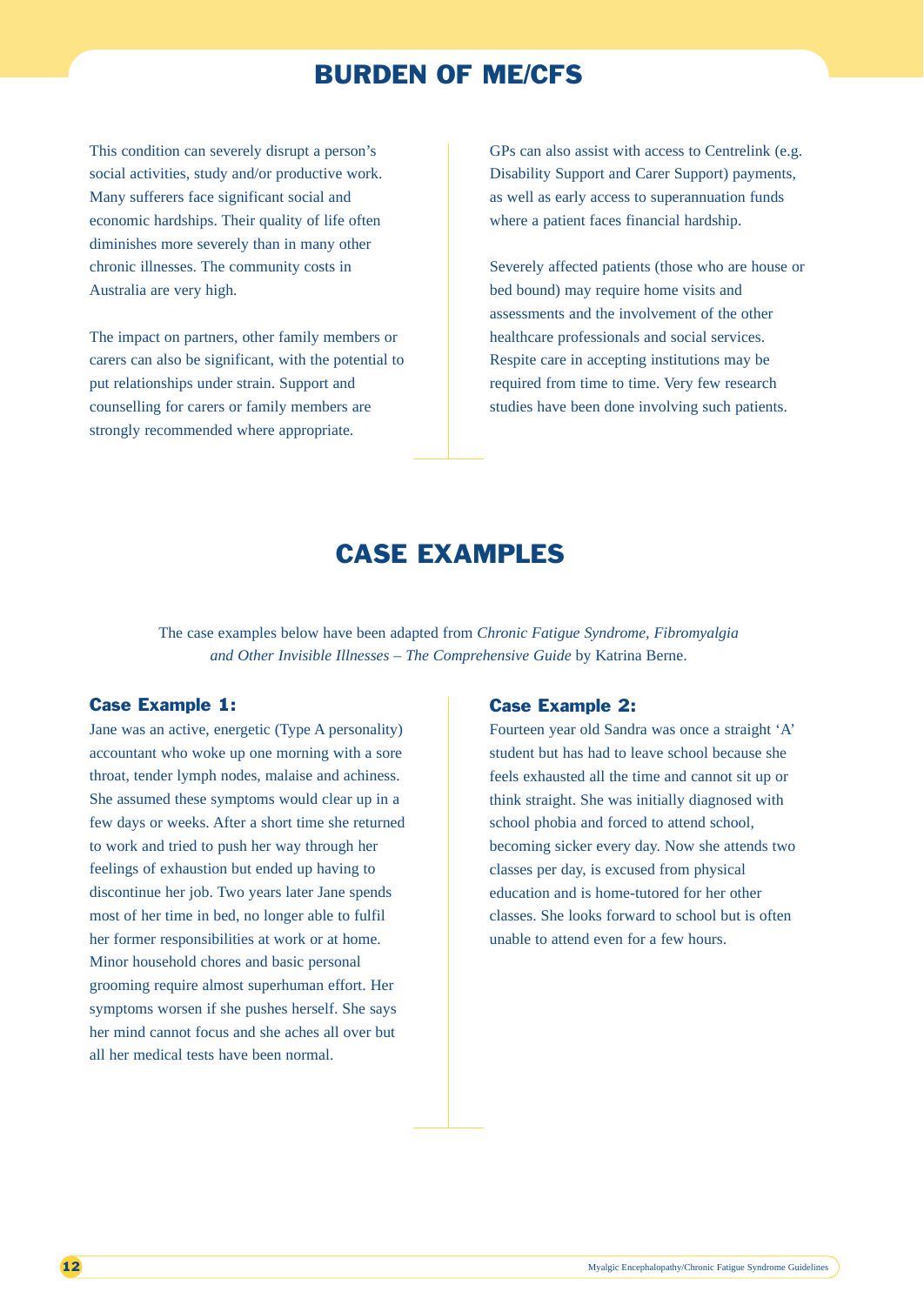## BURDEN OF ME/CFS

This condition can severely disrupt a person's social activities, study and/or productive work. Many sufferers face significant social and economic hardships. Their quality of life often diminishes more severely than in many other chronic illnesses. The community costs in Australia are very high.

The impact on partners, other family members or carers can also be significant, with the potential to put relationships under strain. Support and counselling for carers or family members are strongly recommended where appropriate.

GPs can also assist with access to Centrelink (e.g. Disability Support and Carer Support) payments, as well as early access to superannuation funds where a patient faces financial hardship.

Severely affected patients (those who are house or bed bound) may require home visits and assessments and the involvement of the other healthcare professionals and social services. Respite care in accepting institutions may be required from time to time. Very few research studies have been done involving such patients.

## CASE EXAMPLES

The case examples below have been adapted from *Chronic Fatigue Syndrome, Fibromyalgia and Other Invisible Illnesses – The Comprehensive Guide* by Katrina Berne.

## Case Example 1:

Jane was an active, energetic (Type A personality) accountant who woke up one morning with a sore throat, tender lymph nodes, malaise and achiness. She assumed these symptoms would clear up in a few days or weeks. After a short time she returned to work and tried to push her way through her feelings of exhaustion but ended up having to discontinue her job. Two years later Jane spends most of her time in bed, no longer able to fulfil her former responsibilities at work or at home. Minor household chores and basic personal grooming require almost superhuman effort. Her symptoms worsen if she pushes herself. She says her mind cannot focus and she aches all over but all her medical tests have been normal.

## Case Example 2:

Fourteen year old Sandra was once a straight 'A' student but has had to leave school because she feels exhausted all the time and cannot sit up or think straight. She was initially diagnosed with school phobia and forced to attend school, becoming sicker every day. Now she attends two classes per day, is excused from physical education and is home-tutored for her other classes. She looks forward to school but is often unable to attend even for a few hours.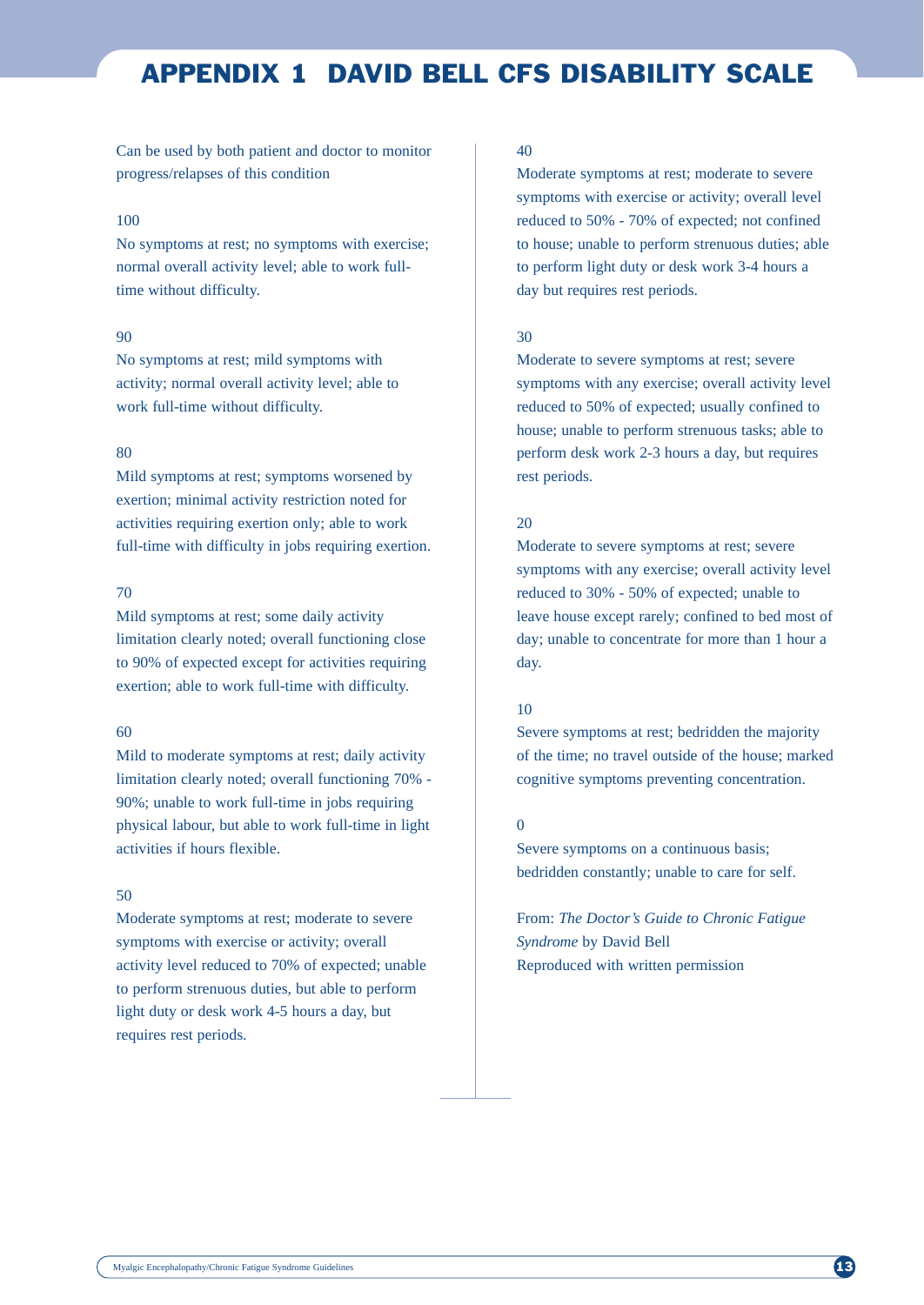## APPENDIX 1 DAVID BELL CFS DISABILITY SCALE

Can be used by both patient and doctor to monitor progress/relapses of this condition

## 100

No symptoms at rest; no symptoms with exercise; normal overall activity level; able to work fulltime without difficulty.

### 90

No symptoms at rest; mild symptoms with activity; normal overall activity level; able to work full-time without difficulty.

#### $80$

Mild symptoms at rest; symptoms worsened by exertion; minimal activity restriction noted for activities requiring exertion only; able to work full-time with difficulty in jobs requiring exertion.

## 70

Mild symptoms at rest; some daily activity limitation clearly noted; overall functioning close to 90% of expected except for activities requiring exertion; able to work full-time with difficulty.

## 60

Mild to moderate symptoms at rest; daily activity limitation clearly noted; overall functioning 70% - 90%; unable to work full-time in jobs requiring physical labour, but able to work full-time in light activities if hours flexible.

## 50

Moderate symptoms at rest; moderate to severe symptoms with exercise or activity; overall activity level reduced to 70% of expected; unable to perform strenuous duties, but able to perform light duty or desk work 4-5 hours a day, but requires rest periods.

## 40

Moderate symptoms at rest; moderate to severe symptoms with exercise or activity; overall level reduced to 50% - 70% of expected; not confined to house; unable to perform strenuous duties; able to perform light duty or desk work 3-4 hours a day but requires rest periods.

## 30

Moderate to severe symptoms at rest; severe symptoms with any exercise; overall activity level reduced to 50% of expected; usually confined to house; unable to perform strenuous tasks; able to perform desk work 2-3 hours a day, but requires rest periods.

## 20

Moderate to severe symptoms at rest; severe symptoms with any exercise; overall activity level reduced to 30% - 50% of expected; unable to leave house except rarely; confined to bed most of day; unable to concentrate for more than 1 hour a day.

## 10

Severe symptoms at rest; bedridden the majority of the time; no travel outside of the house; marked cognitive symptoms preventing concentration.

## 0

Severe symptoms on a continuous basis; bedridden constantly; unable to care for self.

From: *The Doctor's Guide to Chronic Fatigue Syndrome* by David Bell Reproduced with written permission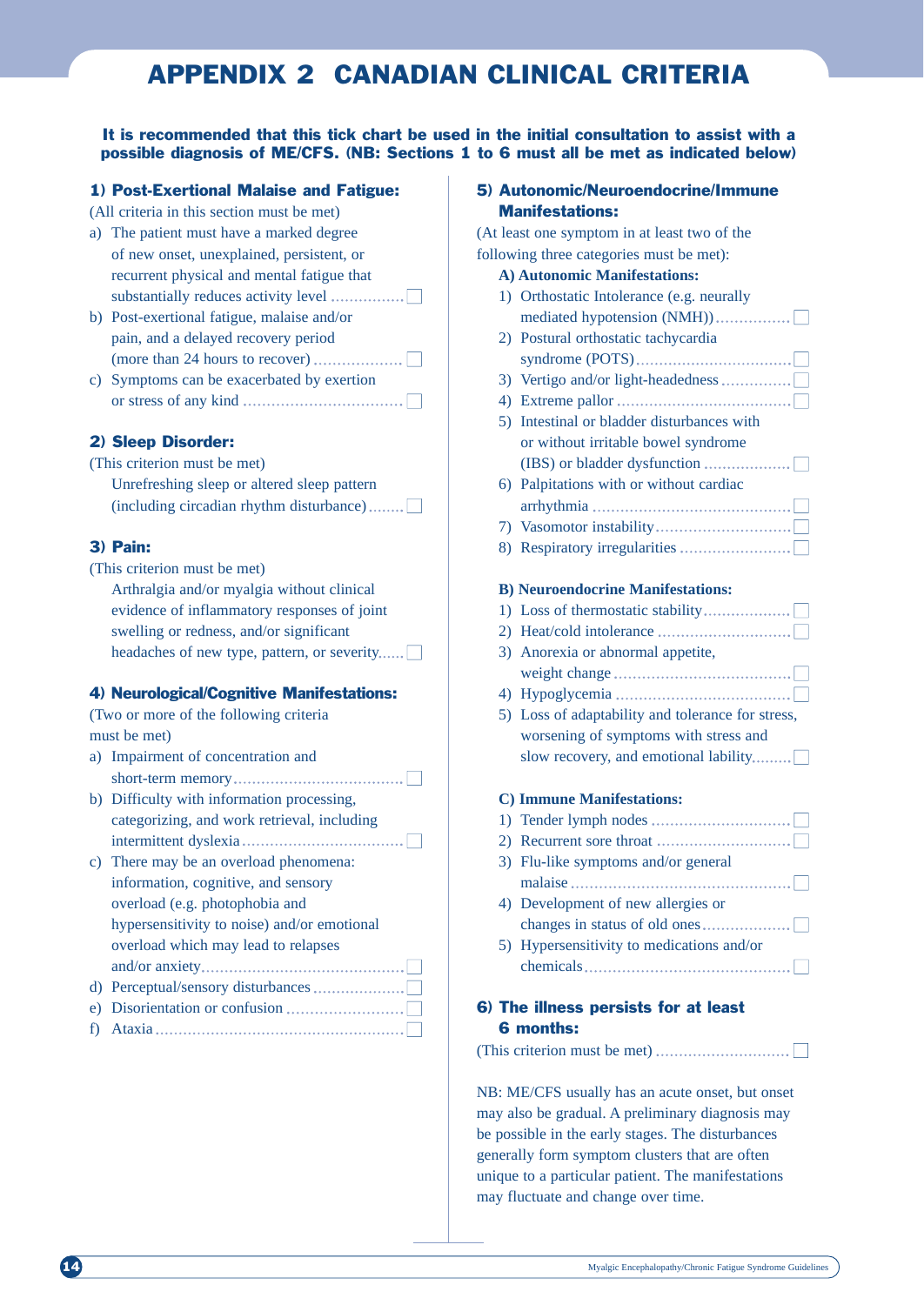## APPENDIX 2 CANADIAN CLINICAL CRITERIA

## It is recommended that this tick chart be used in the initial consultation to assist with a possible diagnosis of ME/CFS. (NB: Sections 1 to 6 must all be met as indicated below)

## 1) Post-Exertional Malaise and Fatigue:

- (All criteria in this section must be met)
- a) The patient must have a marked degree of new onset, unexplained, persistent, or recurrent physical and mental fatigue that substantially reduces activity level ■
- b) Post-exertional fatigue, malaise and/or pain, and a delayed recovery period (more than 24 hours to recover)  $\dots$
- c) Symptoms can be exacerbated by exertion or stress of any kind  $\dots$   $\dots$   $\dots$   $\dots$   $\dots$   $\dots$

## 2) Sleep Disorder:

## (This criterion must be met) Unrefreshing sleep or altered sleep pattern  $(including circadian rhythm disturbance)$ .......

## 3) Pain:

(This criterion must be met) Arthralgia and/or myalgia without clinical evidence of inflammatory responses of joint swelling or redness, and/or significant headaches of new type, pattern, or severity...... $\Box$ 

## 4) Neurological/Cognitive Manifestations:

(Two or more of the following criteria must be met)

- a) Impairment of concentration and short-term memory ■
- b) Difficulty with information processing, categorizing, and work retrieval, including intermittent dyslexia ■
- c) There may be an overload phenomena: information, cognitive, and sensory overload (e.g. photophobia and hypersensitivity to noise) and/or emotional overload which may lead to relapses and/or anxiety ■ d) Perceptual/sensory disturbances  $\dots\dots\dots\dots\dots\dots$ e) Disorientation or confusion  $\dots$
- f) Ataxia ■

## 5) Autonomic/Neuroendocrine/Immune Manifestations:

(At least one symptom in at least two of the following three categories must be met):

#### **A) Autonomic Manifestations:**

- 1) Orthostatic Intolerance (e.g. neurally mediated hypotension (NMH)) ■ 2) Postural orthostatic tachycardia syndrome (POTS) ■ 3) Vertigo and/or light-headedness  $\dots\dots\dots\dots\dots$ 4) Extreme pallor ■ 5) Intestinal or bladder disturbances with or without irritable bowel syndrome  $(IBS)$  or bladder dysfunction  $\dots\dots\dots\dots\dots\dots$ 6) Palpitations with or without cardiac arrhythmia ■ 7) Vasomotor instability ■ 8) Respiratory irregularities  $\dots$ **B) Neuroendocrine Manifestations:** 1) Loss of thermostatic stability  $\dots\dots\dots\dots\dots\dots$ 2) Heat/cold intolerance  $\dots$   $\dots$ 3) Anorexia or abnormal appetite, weight change ■ 4) Hypoglycemia ■ 5) Loss of adaptability and tolerance for stress, worsening of symptoms with stress and slow recovery, and emotional lability......... $\Box$ **C) Immune Manifestations:** 1) Tender lymph nodes  $\dots\dots\dots\dots\dots\dots\dots\dots\dots$ 2) Recurrent sore throat  $\dots$   $\dots$ 3) Flu-like symptoms and/or general malaise ■ 4) Development of new allergies or changes in status of old ones  $\dots\dots\dots\dots\dots\dots \square$
- 5) Hypersensitivity to medications and/or  $chemicals$   $\Box$

## 6) The illness persists for at least 6 months:

(This criterion must be met)  $\dots$   $\dots$   $\dots$ 

NB: ME/CFS usually has an acute onset, but onset may also be gradual. A preliminary diagnosis may be possible in the early stages. The disturbances generally form symptom clusters that are often unique to a particular patient. The manifestations may fluctuate and change over time.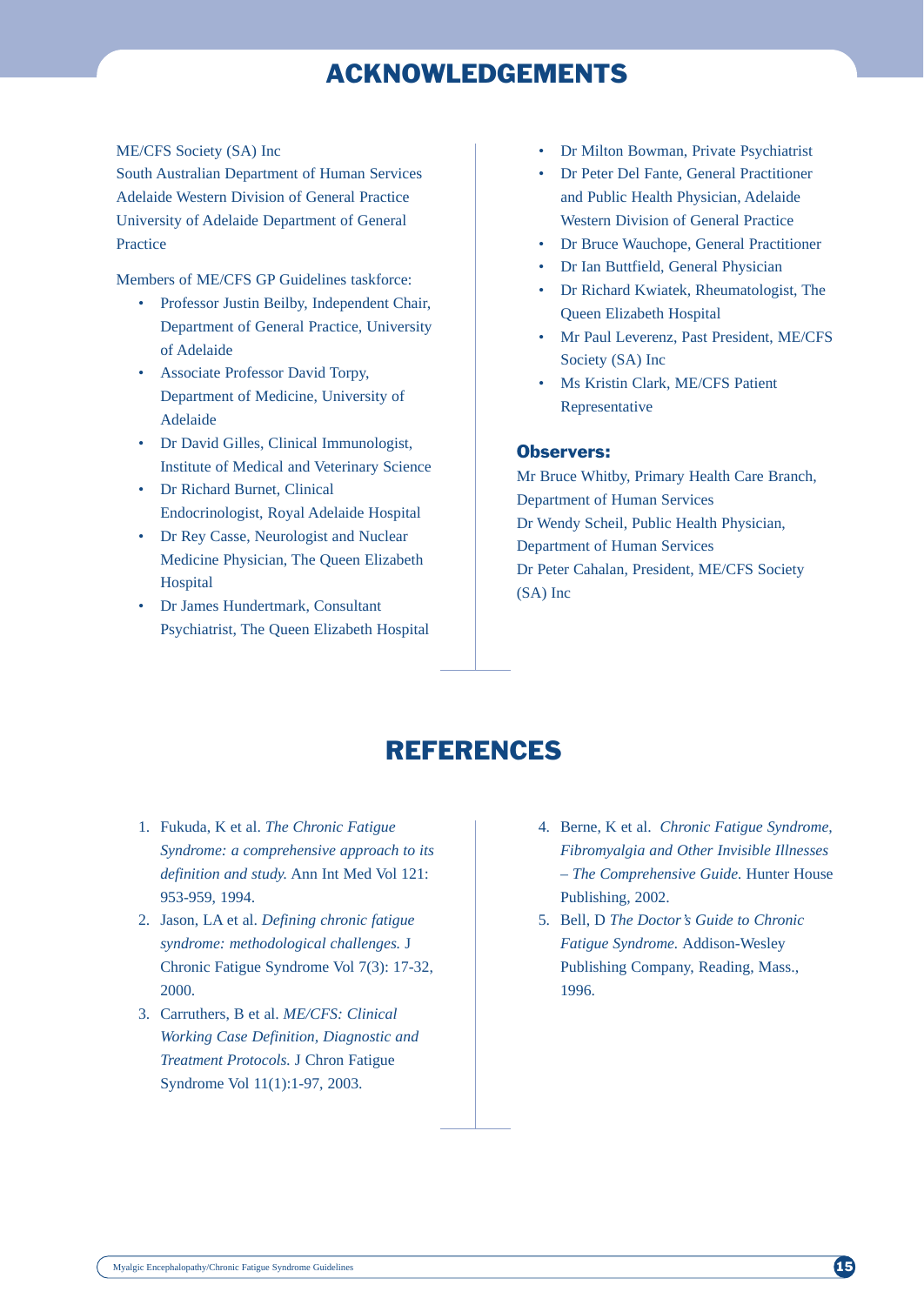## ACKNOWLEDGEMENTS

#### ME/CFS Society (SA) Inc

South Australian Department of Human Services Adelaide Western Division of General Practice University of Adelaide Department of General Practice

Members of ME/CFS GP Guidelines taskforce:

- Professor Justin Beilby, Independent Chair, Department of General Practice, University of Adelaide
- Associate Professor David Torpy, Department of Medicine, University of Adelaide
- Dr David Gilles, Clinical Immunologist, Institute of Medical and Veterinary Science
- Dr Richard Burnet, Clinical Endocrinologist, Royal Adelaide Hospital
- Dr Rey Casse, Neurologist and Nuclear Medicine Physician, The Queen Elizabeth **Hospital**
- Dr James Hundertmark, Consultant Psychiatrist, The Queen Elizabeth Hospital
- Dr Milton Bowman, Private Psychiatrist
- Dr Peter Del Fante, General Practitioner and Public Health Physician, Adelaide Western Division of General Practice
- Dr Bruce Wauchope, General Practitioner
- Dr Ian Buttfield, General Physician
- Dr Richard Kwiatek, Rheumatologist, The Queen Elizabeth Hospital
- Mr Paul Leverenz, Past President, ME/CFS Society (SA) Inc
- Ms Kristin Clark, ME/CFS Patient Representative

## Observers:

Mr Bruce Whitby, Primary Health Care Branch, Department of Human Services Dr Wendy Scheil, Public Health Physician, Department of Human Services Dr Peter Cahalan, President, ME/CFS Society (SA) Inc

## REFERENCES

- 1. Fukuda, K et al. *The Chronic Fatigue Syndrome: a comprehensive approach to its definition and study.* Ann Int Med Vol 121: 953-959, 1994.
- 2. Jason, LA et al. *Defining chronic fatigue syndrome: methodological challenges.* J Chronic Fatigue Syndrome Vol 7(3): 17-32, 2000.
- 3. Carruthers, B et al. *ME/CFS: Clinical Working Case Definition, Diagnostic and Treatment Protocols.* J Chron Fatigue Syndrome Vol 11(1):1-97, 2003.
- 4. Berne, K et al. *Chronic Fatigue Syndrome, Fibromyalgia and Other Invisible Illnesses – The Comprehensive Guide.* Hunter House Publishing, 2002.
- 5. Bell, D *The Doctor's Guide to Chronic Fatigue Syndrome.* Addison-Wesley Publishing Company, Reading, Mass., 1996.